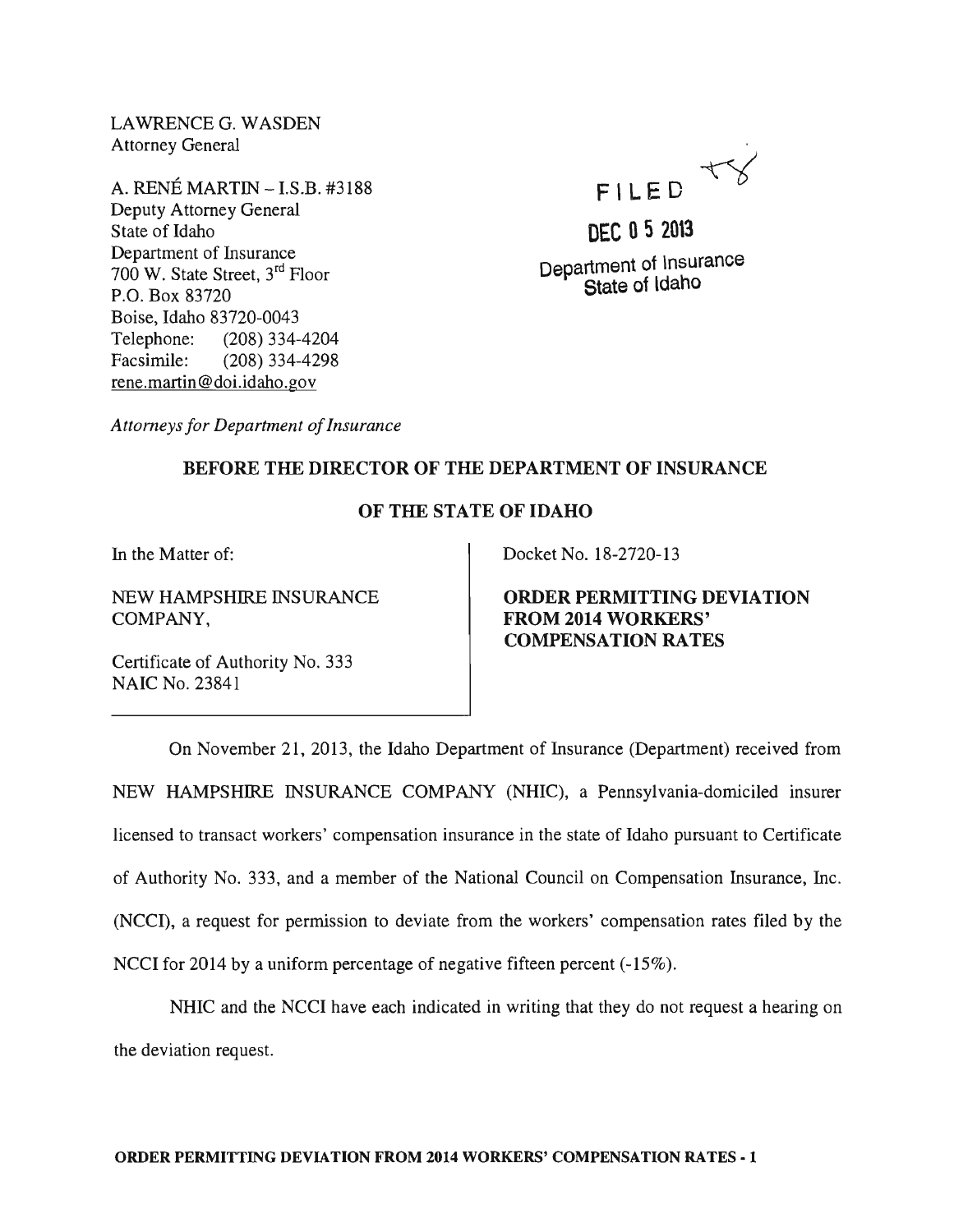LAWRENCE G. WASDEN Attorney General

A. RENE MARTIN -I.S.B. #3188 Deputy Attorney General State of Idaho Department of Insurance 700 W. State Street, 3rd Floor P.O. Box 83720 Boise, Idaho 83720-0043 Telephone: (208) 334-4204 Facsimile: (208) 334-4298 rene.martin@doi.idaho.gov



DEC 052013 Department of lnsurance State of ldaho

*Attorneys for Department of Insurance* 

## BEFORE THE DIRECTOR OF THE DEPARTMENT OF INSURANCE

## OF THE STATE OF IDAHO

In the Matter of:

NEW HAMPSHIRE INSURANCE COMPANY,

Certificate of Authority No. 333 NAIC No. 23841

Docket No. 18-2720-13

ORDER PERMITTING DEVIATION FROM 2014 WORKERS' COMPENSATION RATES

On November 21, 2013, the Idaho Department of Insurance (Department) received from NEW HAMPSHIRE INSURANCE COMPANY (NHIC), a Pennsylvania-domiciled insurer licensed to transact workers' compensation insurance in the state of Idaho pursuant to Certificate of Authority No. 333, and a member of the National Council on Compensation Insurance, Inc. (NCCI), a request for permission to deviate from the workers' compensation rates filed by the NCCI for 2014 by a uniform percentage of negative fifteen percent (-15%).

NHIC and the NCCI have each indicated in writing that they do not request a hearing on the deviation request.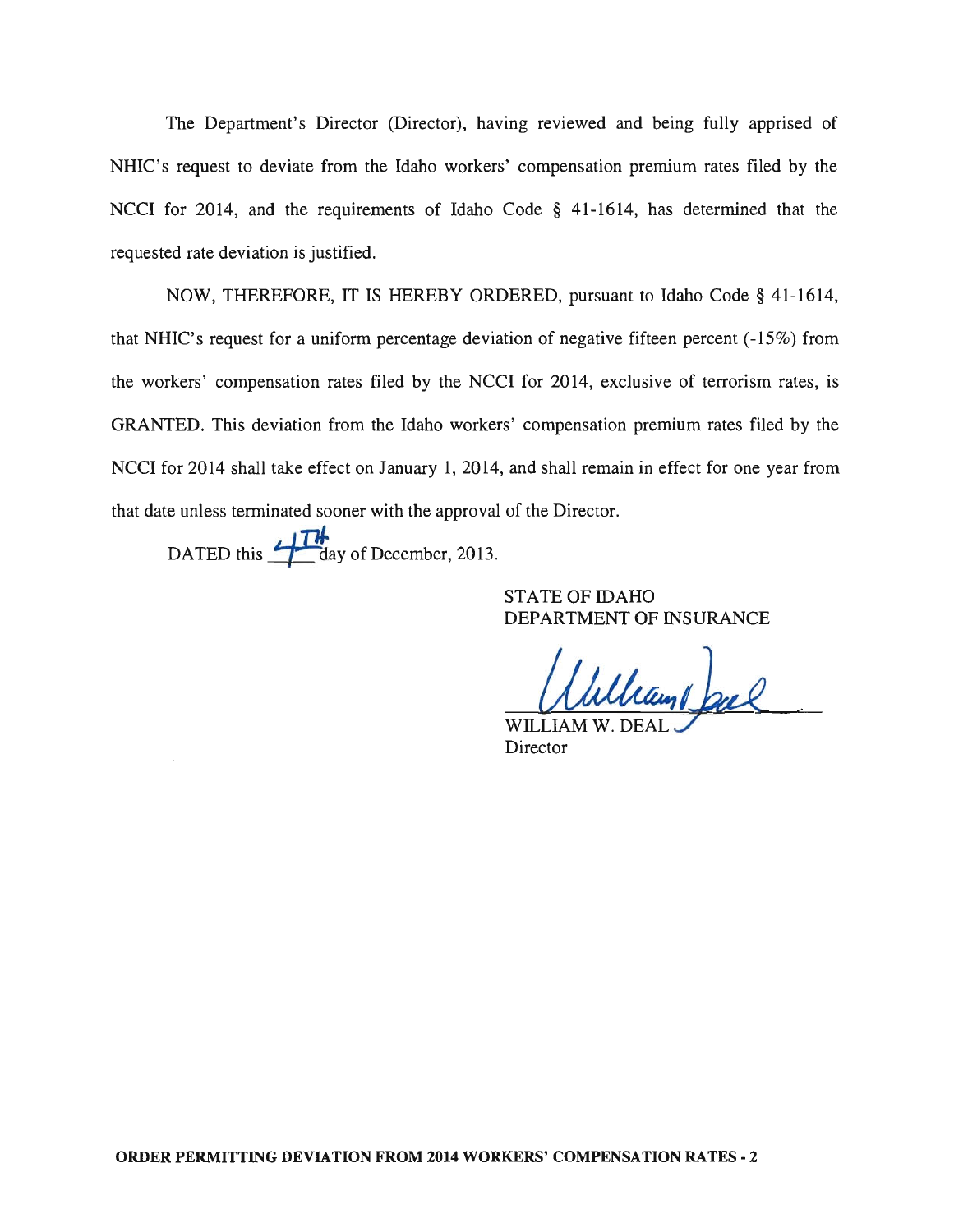The Department's Director (Director), having reviewed and being fully apprised of NHIC's request to deviate from the Idaho workers' compensation premium rates filed by the NCCI for 2014, and the requirements of Idaho Code § 41-1614, has determined that the requested rate deviation is justified.

NOW, THEREFORE, IT IS HEREBY ORDERED, pursuant to Idaho Code § 41-1614, that NHIC's request for a uniform percentage deviation of negative fifteen percent (-15%) from the workers' compensation rates filed by the NCCI for 2014, exclusive of terrorism rates, is GRANTED. This deviation from the Idaho workers' compensation premium rates filed by the NCCI for 2014 shall take effect on January 1, 2014, and shall remain in effect for one year from that date unless terminated sooner with the approval of the Director.

DATED this  $\frac{1}{\sqrt{1 +}}$  day of December, 2013.

STATE OF IDAHO DEPARTMENT OF INSURANCE

May bal ے WILLIAM W. DE

Director